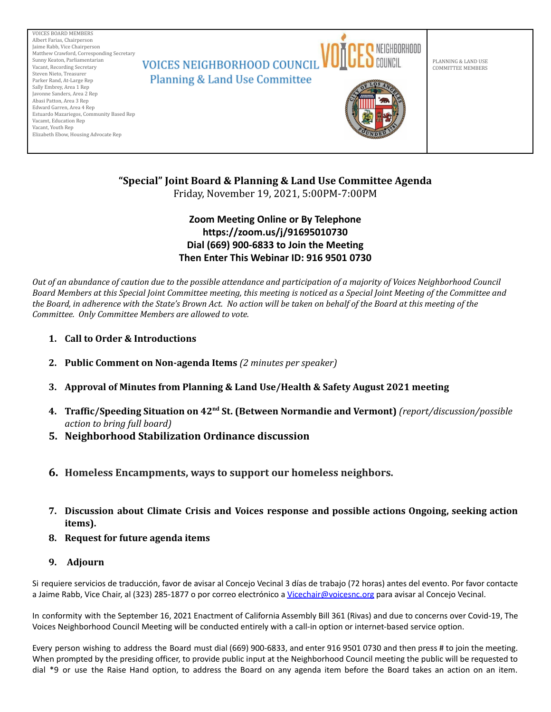

# **"Special" Joint Board & Planning & Land Use Committee Agenda**

Friday, November 19, 2021, 5:00PM-7:00PM

# **Zoom Meeting Online or By Telephone https://zoom.us/j/91695010730 Dial (669) 900-6833 to Join the Meeting Then Enter This Webinar ID: 916 9501 0730**

Out of an abundance of caution due to the possible attendance and participation of a majority of Voices Neighborhood Council Board Members at this Special Joint Committee meeting, this meeting is noticed as a Special Joint Meeting of the Committee and the Board, in adherence with the State's Brown Act. No action will be taken on behalf of the Board at this meeting of the *Committee. Only Committee Members are allowed to vote.*

- **1. Call to Order & Introductions**
- **2. Public Comment on Non-agenda Items** *(2 minutes per speaker)*
- **3. Approval of Minutes from Planning & Land Use/Health & Safety August 2021 meeting**
- **4. Traffic/Speeding Situation on 42 nd St. (Between Normandie and Vermont)** *(report/discussion/possible action to bring full board)*
- **5. Neighborhood Stabilization Ordinance discussion**
- **6. Homeless Encampments, ways to support our homeless neighbors.**
- **7. Discussion about Climate Crisis and Voices response and possible actions Ongoing, seeking action items).**
- **8. Request for future agenda items**
- **9. Adjourn**

Si requiere servicios de traducción, favor de avisar al Concejo Vecinal 3 días de trabajo (72 horas) antes del evento. Por favor contacte a Jaime Rabb, Vice Chair, al (323) 285-1877 o por correo electrónico a [Vicechair@voicesnc.org](mailto:VNCCorrSec18@gmail.com) para avisar al Concejo Vecinal.

In conformity with the September 16, 2021 Enactment of California Assembly Bill 361 (Rivas) and due to concerns over Covid-19, The Voices Neighborhood Council Meeting will be conducted entirely with a call-in option or internet-based service option.

Every person wishing to address the Board must dial (669) 900-6833, and enter 916 9501 0730 and then press # to join the meeting. When prompted by the presiding officer, to provide public input at the Neighborhood Council meeting the public will be requested to dial \*9 or use the Raise Hand option, to address the Board on any agenda item before the Board takes an action on an item.